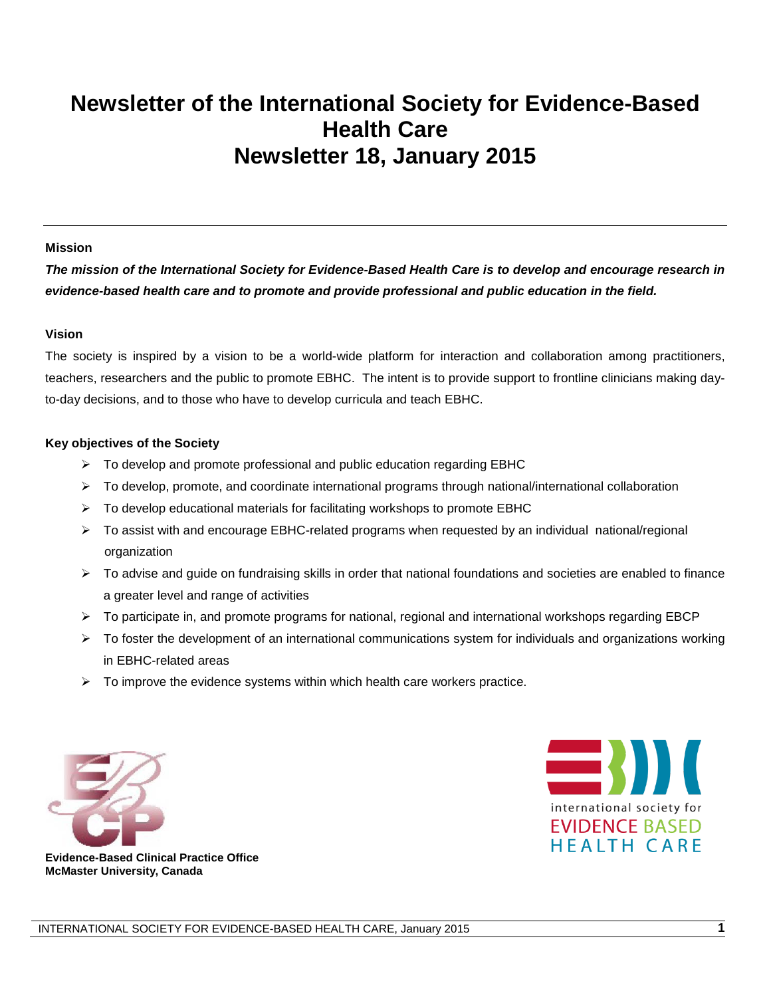## **Newsletter of the International Society for Evidence-Based Health Care Newsletter 18, January 2015**

#### **Mission**

*The mission of the International Society for Evidence-Based Health Care is to develop and encourage research in evidence-based health care and to promote and provide professional and public education in the field.*

#### **Vision**

The society is inspired by a vision to be a world-wide platform for interaction and collaboration among practitioners, teachers, researchers and the public to promote EBHC. The intent is to provide support to frontline clinicians making dayto-day decisions, and to those who have to develop curricula and teach EBHC.

#### **Key objectives of the Society**

- $\triangleright$  To develop and promote professional and public education regarding EBHC
- $\triangleright$  To develop, promote, and coordinate international programs through national/international collaboration
- $\triangleright$  To develop educational materials for facilitating workshops to promote EBHC
- To assist with and encourage EBHC-related programs when requested by an individual national/regional organization
- $\triangleright$  To advise and guide on fundraising skills in order that national foundations and societies are enabled to finance a greater level and range of activities
- $\triangleright$  To participate in, and promote programs for national, regional and international workshops regarding EBCP
- $\triangleright$  To foster the development of an international communications system for individuals and organizations working in EBHC-related areas
- $\triangleright$  To improve the evidence systems within which health care workers practice.





**Evidence-Based Clinical Practice Office McMaster University, Canada**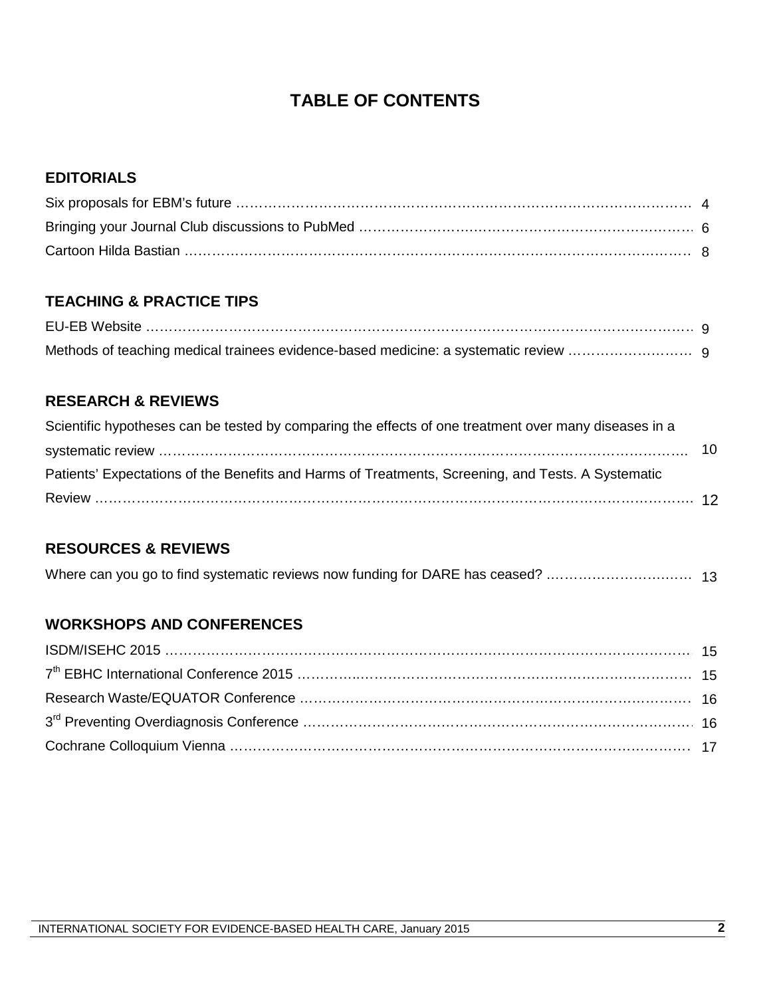### **TABLE OF CONTENTS**

#### **EDITORIALS**

#### **TEACHING & PRACTICE TIPS**

#### **RESEARCH & REVIEWS**

| Scientific hypotheses can be tested by comparing the effects of one treatment over many diseases in a |  |
|-------------------------------------------------------------------------------------------------------|--|
|                                                                                                       |  |
| Patients' Expectations of the Benefits and Harms of Treatments, Screening, and Tests. A Systematic    |  |
|                                                                                                       |  |

#### **RESOURCES & REVIEWS**

| Where can you go to find systematic reviews now funding for DARE has ceased?  13 |  |  |
|----------------------------------------------------------------------------------|--|--|
|----------------------------------------------------------------------------------|--|--|

#### **WORKSHOPS AND CONFERENCES**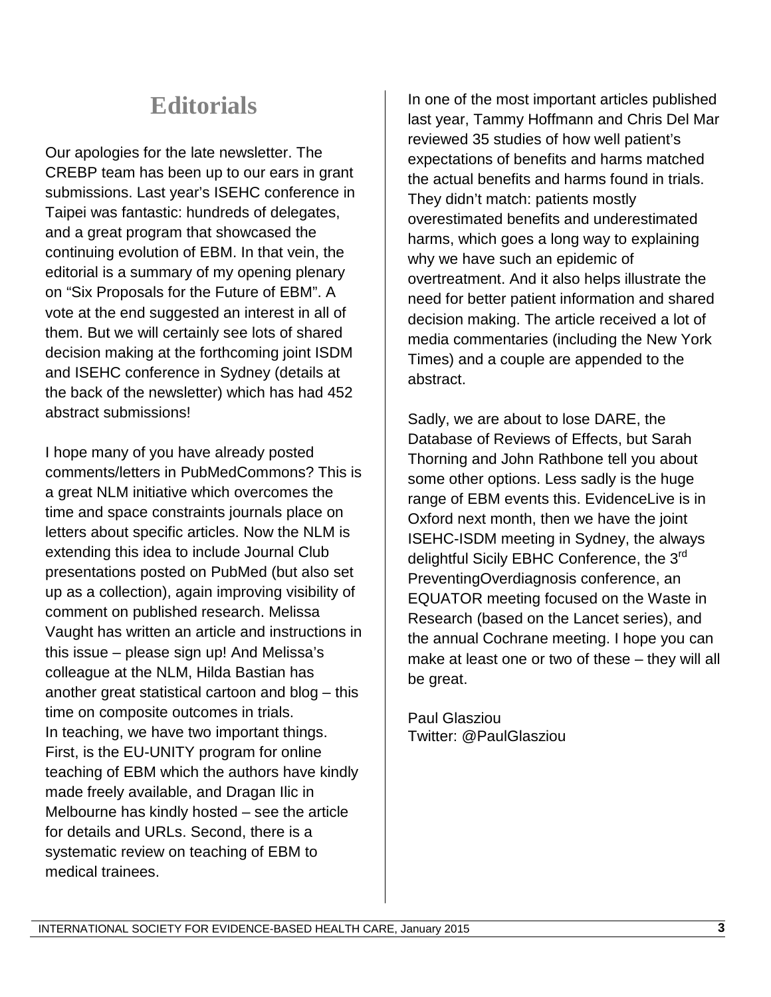## **Editorials**

Our apologies for the late newsletter. The CREBP team has been up to our ears in grant submissions. Last year's ISEHC conference in Taipei was fantastic: hundreds of delegates, and a great program that showcased the continuing evolution of EBM. In that vein, the editorial is a summary of my opening plenary on "Six Proposals for the Future of EBM". A vote at the end suggested an interest in all of them. But we will certainly see lots of shared decision making at the forthcoming joint ISDM and ISEHC conference in Sydney (details at the back of the newsletter) which has had 452 abstract submissions!

I hope many of you have already posted comments/letters in PubMedCommons? This is a great NLM initiative which overcomes the time and space constraints journals place on letters about specific articles. Now the NLM is extending this idea to include Journal Club presentations posted on PubMed (but also set up as a collection), again improving visibility of comment on published research. Melissa Vaught has written an article and instructions in this issue – please sign up! And Melissa's colleague at the NLM, Hilda Bastian has another great statistical cartoon and blog – this time on composite outcomes in trials. In teaching, we have two important things. First, is the EU-UNITY program for online teaching of EBM which the authors have kindly made freely available, and Dragan Ilic in Melbourne has kindly hosted – see the article for details and URLs. Second, there is a systematic review on teaching of EBM to medical trainees.

In one of the most important articles published last year, Tammy Hoffmann and Chris Del Mar reviewed 35 studies of how well patient's expectations of benefits and harms matched the actual benefits and harms found in trials. They didn't match: patients mostly overestimated benefits and underestimated harms, which goes a long way to explaining why we have such an epidemic of overtreatment. And it also helps illustrate the need for better patient information and shared decision making. The article received a lot of media commentaries (including the New York Times) and a couple are appended to the abstract.

Sadly, we are about to lose DARE, the Database of Reviews of Effects, but Sarah Thorning and John Rathbone tell you about some other options. Less sadly is the huge range of EBM events this. EvidenceLive is in Oxford next month, then we have the joint ISEHC-ISDM meeting in Sydney, the always delightful Sicily EBHC Conference, the 3<sup>rd</sup> PreventingOverdiagnosis conference, an EQUATOR meeting focused on the Waste in Research (based on the Lancet series), and the annual Cochrane meeting. I hope you can make at least one or two of these – they will all be great.

Paul Glasziou Twitter: @PaulGlasziou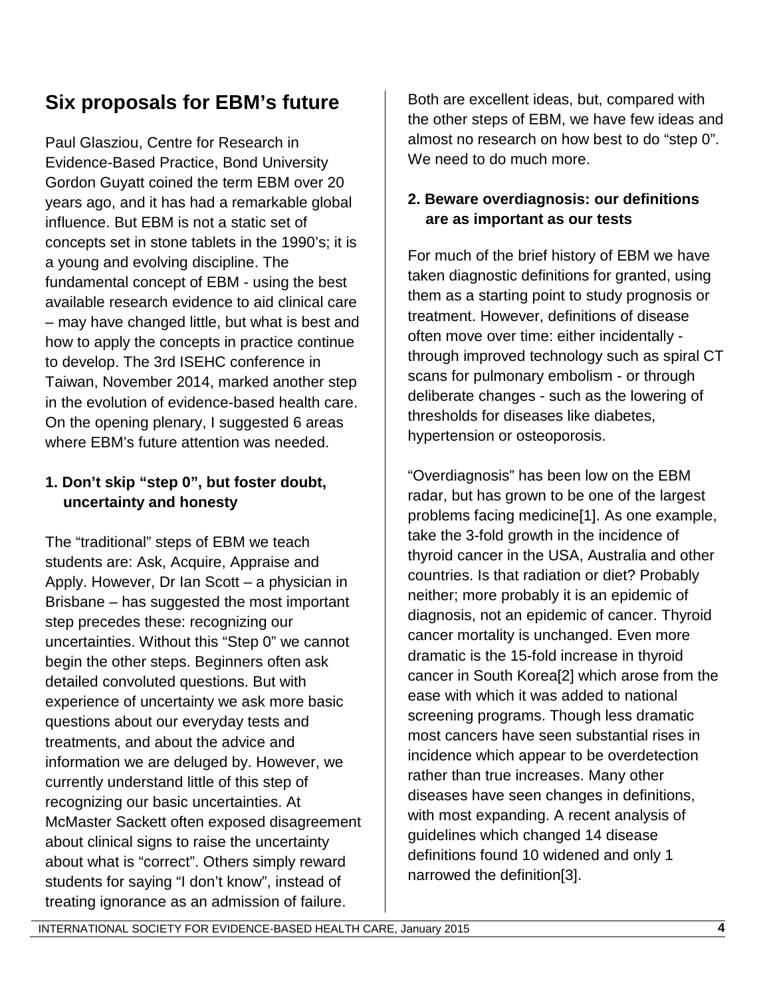## **Six proposals for EBM's future**

Paul Glasziou, Centre for Research in Evidence-Based Practice, Bond University Gordon Guyatt coined the term EBM over 20 years ago, and it has had a remarkable global influence. But EBM is not a static set of concepts set in stone tablets in the 1990's; it is a young and evolving discipline. The fundamental concept of EBM - using the best available research evidence to aid clinical care – may have changed little, but what is best and how to apply the concepts in practice continue to develop. The 3rd ISEHC conference in Taiwan, November 2014, marked another step in the evolution of evidence-based health care. On the opening plenary, I suggested 6 areas where EBM's future attention was needed.

#### **1. Don't skip "step 0", but foster doubt, uncertainty and honesty**

The "traditional" steps of EBM we teach students are: Ask, Acquire, Appraise and Apply. However, Dr Ian Scott – a physician in Brisbane – has suggested the most important step precedes these: recognizing our uncertainties. Without this "Step 0" we cannot begin the other steps. Beginners often ask detailed convoluted questions. But with experience of uncertainty we ask more basic questions about our everyday tests and treatments, and about the advice and information we are deluged by. However, we currently understand little of this step of recognizing our basic uncertainties. At McMaster Sackett often exposed disagreement about clinical signs to raise the uncertainty about what is "correct". Others simply reward students for saying "I don't know", instead of treating ignorance as an admission of failure.

Both are excellent ideas, but, compared with the other steps of EBM, we have few ideas and almost no research on how best to do "step 0". We need to do much more.

#### **2. Beware overdiagnosis: our definitions are as important as our tests**

For much of the brief history of EBM we have taken diagnostic definitions for granted, using them as a starting point to study prognosis or treatment. However, definitions of disease often move over time: either incidentally through improved technology such as spiral CT scans for pulmonary embolism - or through deliberate changes - such as the lowering of thresholds for diseases like diabetes, hypertension or osteoporosis.

"Overdiagnosis" has been low on the EBM radar, but has grown to be one of the largest problems facing medicine[1]. As one example, take the 3-fold growth in the incidence of thyroid cancer in the USA, Australia and other countries. Is that radiation or diet? Probably neither; more probably it is an epidemic of diagnosis, not an epidemic of cancer. Thyroid cancer mortality is unchanged. Even more dramatic is the 15-fold increase in thyroid cancer in South Korea[2] which arose from the ease with which it was added to national screening programs. Though less dramatic most cancers have seen substantial rises in incidence which appear to be overdetection rather than true increases. Many other diseases have seen changes in definitions, with most expanding. A recent analysis of guidelines which changed 14 disease definitions found 10 widened and only 1 narrowed the definition[3].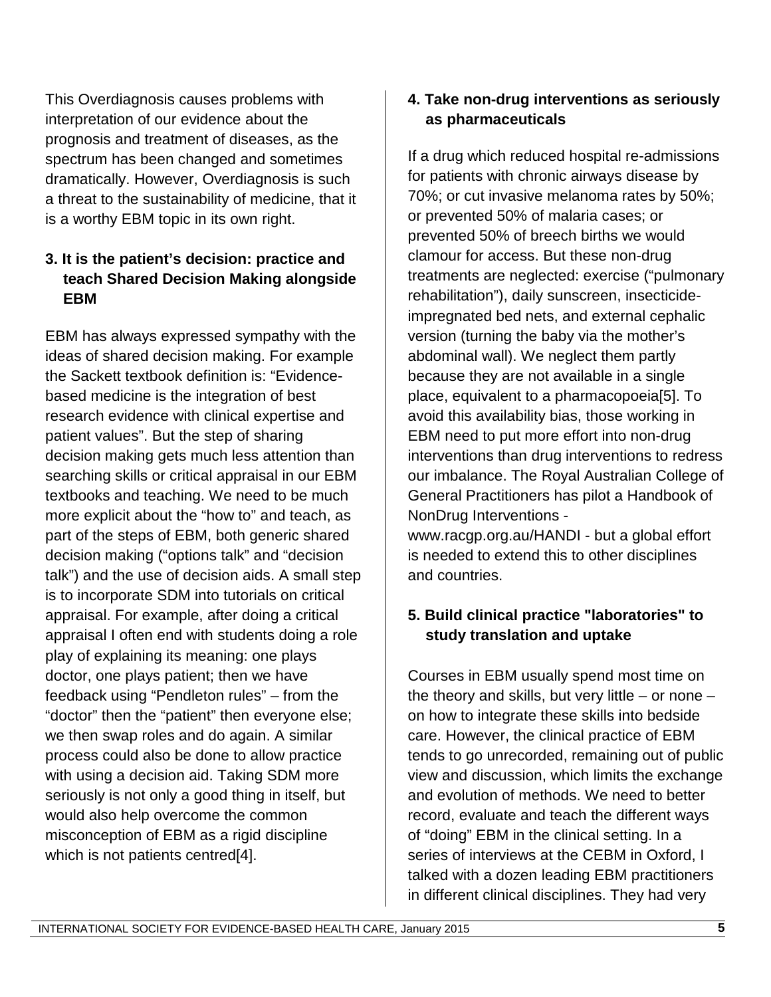This Overdiagnosis causes problems with interpretation of our evidence about the prognosis and treatment of diseases, as the spectrum has been changed and sometimes dramatically. However, Overdiagnosis is such a threat to the sustainability of medicine, that it is a worthy EBM topic in its own right.

#### **3. It is the patient's decision: practice and teach Shared Decision Making alongside EBM**

EBM has always expressed sympathy with the ideas of shared decision making. For example the Sackett textbook definition is: "Evidencebased medicine is the integration of best research evidence with clinical expertise and patient values". But the step of sharing decision making gets much less attention than searching skills or critical appraisal in our EBM textbooks and teaching. We need to be much more explicit about the "how to" and teach, as part of the steps of EBM, both generic shared decision making ("options talk" and "decision talk") and the use of decision aids. A small step is to incorporate SDM into tutorials on critical appraisal. For example, after doing a critical appraisal I often end with students doing a role play of explaining its meaning: one plays doctor, one plays patient; then we have feedback using "Pendleton rules" – from the "doctor" then the "patient" then everyone else; we then swap roles and do again. A similar process could also be done to allow practice with using a decision aid. Taking SDM more seriously is not only a good thing in itself, but would also help overcome the common misconception of EBM as a rigid discipline which is not patients centred[4].

#### **4. Take non-drug interventions as seriously as pharmaceuticals**

If a drug which reduced hospital re-admissions for patients with chronic airways disease by 70%; or cut invasive melanoma rates by 50%; or prevented 50% of malaria cases; or prevented 50% of breech births we would clamour for access. But these non-drug treatments are neglected: exercise ("pulmonary rehabilitation"), daily sunscreen, insecticideimpregnated bed nets, and external cephalic version (turning the baby via the mother's abdominal wall). We neglect them partly because they are not available in a single place, equivalent to a pharmacopoeia[5]. To avoid this availability bias, those working in EBM need to put more effort into non-drug interventions than drug interventions to redress our imbalance. The Royal Australian College of General Practitioners has pilot a Handbook of NonDrug Interventions www.racgp.org.au/HANDI - but a global effort is needed to extend this to other disciplines and countries.

### **5. Build clinical practice "laboratories" to study translation and uptake**

Courses in EBM usually spend most time on the theory and skills, but very little  $-$  or none  $$ on how to integrate these skills into bedside care. However, the clinical practice of EBM tends to go unrecorded, remaining out of public view and discussion, which limits the exchange and evolution of methods. We need to better record, evaluate and teach the different ways of "doing" EBM in the clinical setting. In a series of interviews at the CEBM in Oxford, I talked with a dozen leading EBM practitioners in different clinical disciplines. They had very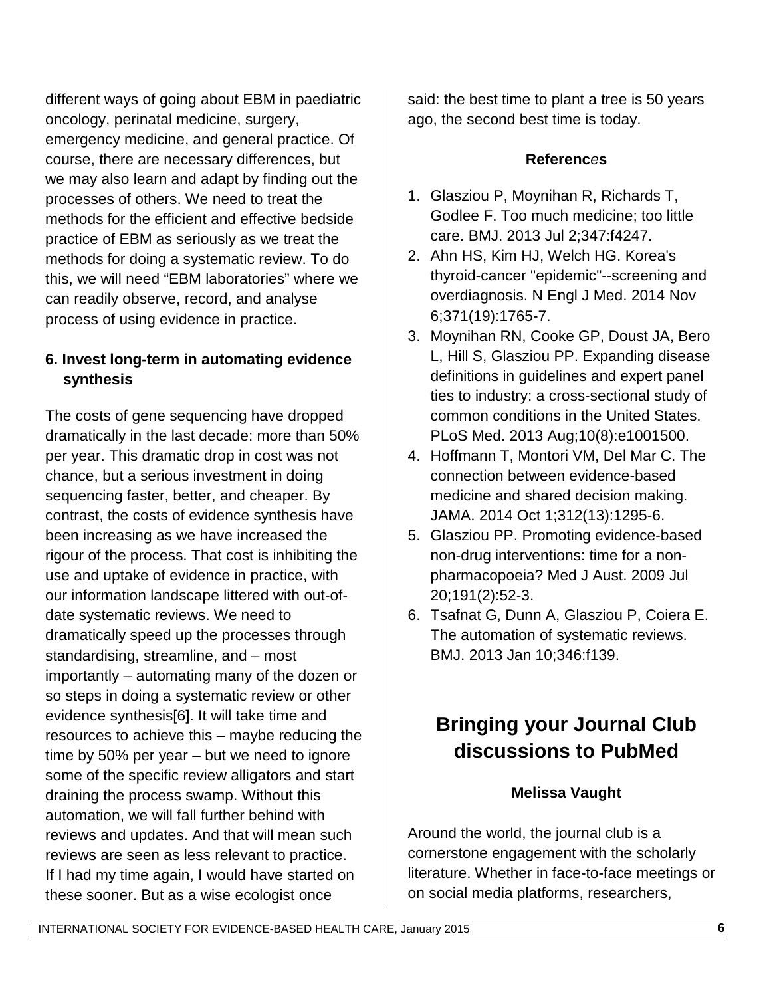different ways of going about EBM in paediatric oncology, perinatal medicine, surgery, emergency medicine, and general practice. Of course, there are necessary differences, but we may also learn and adapt by finding out the processes of others. We need to treat the methods for the efficient and effective bedside practice of EBM as seriously as we treat the methods for doing a systematic review. To do this, we will need "EBM laboratories" where we can readily observe, record, and analyse process of using evidence in practice.

#### **6. Invest long-term in automating evidence synthesis**

The costs of gene sequencing have dropped dramatically in the last decade: more than 50% per year. This dramatic drop in cost was not chance, but a serious investment in doing sequencing faster, better, and cheaper. By contrast, the costs of evidence synthesis have been increasing as we have increased the rigour of the process. That cost is inhibiting the use and uptake of evidence in practice, with our information landscape littered with out-ofdate systematic reviews. We need to dramatically speed up the processes through standardising, streamline, and – most importantly – automating many of the dozen or so steps in doing a systematic review or other evidence synthesis[6]. It will take time and resources to achieve this – maybe reducing the time by 50% per year – but we need to ignore some of the specific review alligators and start draining the process swamp. Without this automation, we will fall further behind with reviews and updates. And that will mean such reviews are seen as less relevant to practice. If I had my time again, I would have started on these sooner. But as a wise ecologist once

said: the best time to plant a tree is 50 years ago, the second best time is today.

#### **Referenc***e***s**

- 1. Glasziou P, Moynihan R, Richards T, Godlee F. Too much medicine; too little care. BMJ. 2013 Jul 2;347:f4247.
- 2. Ahn HS, Kim HJ, Welch HG. Korea's thyroid-cancer "epidemic"--screening and overdiagnosis. N Engl J Med. 2014 Nov 6;371(19):1765-7.
- 3. Moynihan RN, Cooke GP, Doust JA, Bero L, Hill S, Glasziou PP. Expanding disease definitions in guidelines and expert panel ties to industry: a cross-sectional study of common conditions in the United States. PLoS Med. 2013 Aug;10(8):e1001500.
- 4. Hoffmann T, Montori VM, Del Mar C. The connection between evidence-based medicine and shared decision making. JAMA. 2014 Oct 1;312(13):1295-6.
- 5. Glasziou PP. Promoting evidence-based non-drug interventions: time for a nonpharmacopoeia? Med J Aust. 2009 Jul 20;191(2):52-3.
- 6. Tsafnat G, Dunn A, Glasziou P, Coiera E. The automation of systematic reviews. BMJ. 2013 Jan 10;346:f139.

## **Bringing your Journal Club discussions to PubMed**

#### **Melissa Vaught**

Around the world, the journal club is a cornerstone engagement with the scholarly literature. Whether in face-to-face meetings or on social media platforms, researchers,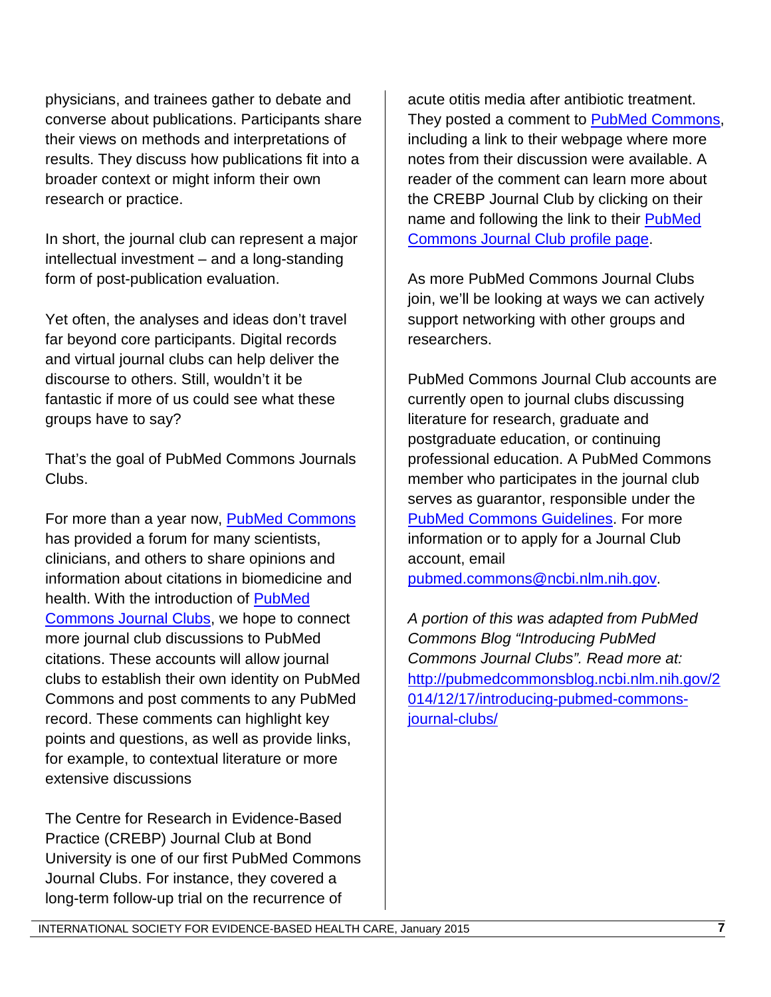physicians, and trainees gather to debate and converse about publications. Participants share their views on methods and interpretations of results. They discuss how publications fit into a broader context or might inform their own research or practice.

In short, the journal club can represent a major intellectual investment – and a long-standing form of post-publication evaluation.

Yet often, the analyses and ideas don't travel far beyond core participants. Digital records and virtual journal clubs can help deliver the discourse to others. Still, wouldn't it be fantastic if more of us could see what these groups have to say?

That's the goal of PubMed Commons Journals Clubs.

For more than a year now, [PubMed Commons](http://www.ncbi.nlm.nih.gov/pubmedcommons/) has provided a forum for many scientists, clinicians, and others to share opinions and information about citations in biomedicine and health. With the introduction of [PubMed](http://www.ncbi.nlm.nih.gov/pubmedcommons/journal-clubs/about/)  [Commons Journal Clubs,](http://www.ncbi.nlm.nih.gov/pubmedcommons/journal-clubs/about/) we hope to connect more journal club discussions to PubMed citations. These accounts will allow journal clubs to establish their own identity on PubMed Commons and post comments to any PubMed record. These comments can highlight key points and questions, as well as provide links, for example, to contextual literature or more extensive discussions

The Centre for Research in Evidence-Based Practice (CREBP) Journal Club at Bond University is one of our first PubMed Commons Journal Clubs. For instance, they covered a long-term follow-up trial on the recurrence of

acute otitis media after antibiotic treatment. They posted a comment to [PubMed Commons,](http://www.ncbi.nlm.nih.gov/pubmed/19567910#cm19567910_8401) including a link to their webpage where more notes from their discussion were available. A reader of the comment can learn more about the CREBP Journal Club by clicking on their name and following the link to their **PubMed** [Commons Journal Club profile page.](http://www.ncbi.nlm.nih.gov/myncbi/crebp.journal%20club.1/profile)

As more PubMed Commons Journal Clubs join, we'll be looking at ways we can actively support networking with other groups and researchers.

PubMed Commons Journal Club accounts are currently open to journal clubs discussing literature for research, graduate and postgraduate education, or continuing professional education. A PubMed Commons member who participates in the journal club serves as guarantor, responsible under the [PubMed Commons Guidelines.](http://www.ncbi.nlm.nih.gov/pubmedcommons/help/guidelines/) For more information or to apply for a Journal Club account, email

[pubmed.commons@ncbi.nlm.nih.gov.](mailto:pubmed.commons@ncbi.nlm.nih.gov)

*A portion of this was adapted from PubMed Commons Blog "Introducing PubMed Commons Journal Clubs". Read more at:*  [http://pubmedcommonsblog.ncbi.nlm.nih.gov/2](http://pubmedcommonsblog.ncbi.nlm.nih.gov/2014/12/17/introducing-pubmed-commons-journal-clubs/) [014/12/17/introducing-pubmed-commons](http://pubmedcommonsblog.ncbi.nlm.nih.gov/2014/12/17/introducing-pubmed-commons-journal-clubs/)[journal-clubs/](http://pubmedcommonsblog.ncbi.nlm.nih.gov/2014/12/17/introducing-pubmed-commons-journal-clubs/)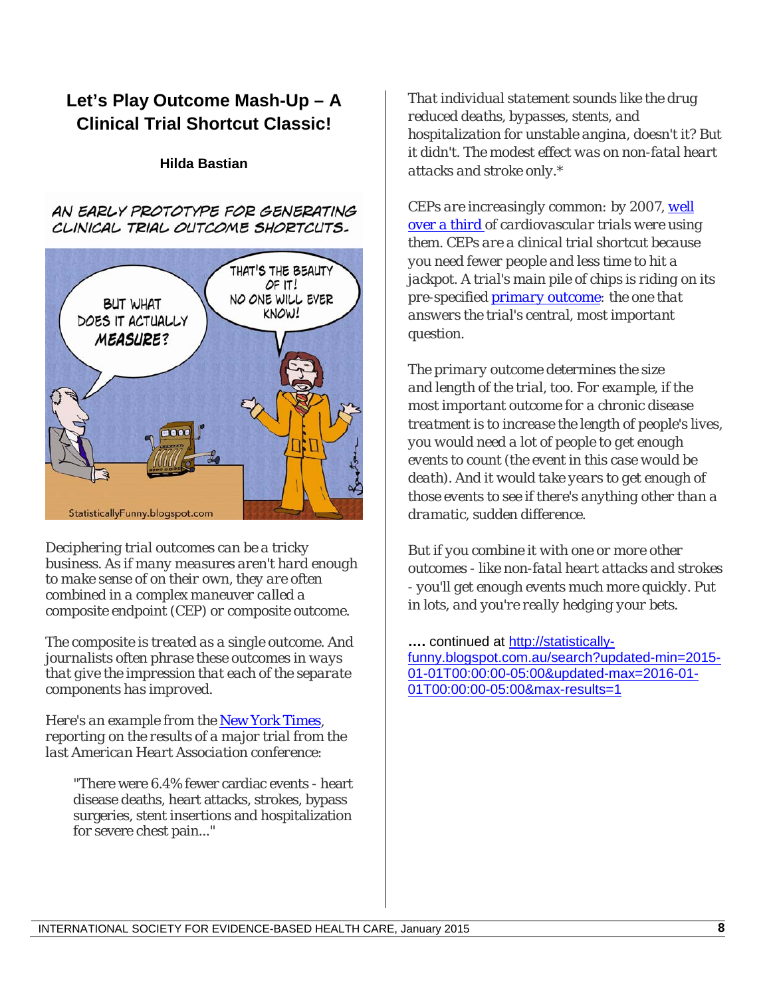### **Let's Play Outcome Mash-Up – A Clinical Trial Shortcut Classic!**

#### **Hilda Bastian**

AN EARLY PROTOTYPE FOR GENERATING CLINICAL TRIAL OUTCOME SHORTCUTS.



*Deciphering trial outcomes can be a tricky business. As if many measures aren't hard enough to make sense of on their own, they are often combined in a complex maneuver called a composite endpoint (CEP) or composite outcome.* 

*The composite is treated as a single outcome. And journalists often phrase these outcomes in ways that give the impression that each of the separate components has improved.*

*Here's an example from the* [New York Times](http://www.nytimes.com/2014/11/18/health/study-finds-alternative-to-statins-in-preventing-heart-attacks-and-strokes.html?_r=0)*, reporting on the results of a major trial from the last American Heart Association conference:*

"There were 6.4% fewer cardiac events - heart disease deaths, heart attacks, strokes, bypass surgeries, stent insertions and hospitalization for severe chest pain..."

*That individual statement sounds like the drug reduced deaths, bypasses, stents, and hospitalization for unstable angina, doesn't it? But it didn't. The modest effect was on non-fatal heart attacks and stroke only.\**

*CEPs are increasingly common: by 2007, [well](http://www.ncbi.nlm.nih.gov/pubmed/18981486)  [over a third](http://www.ncbi.nlm.nih.gov/pubmed/18981486) of cardiovascular trials were using them. CEPs are a clinical trial shortcut because you need fewer people and less time to hit a jackpot. A trial's main pile of chips is riding on its pre-specified [primary outcome:](http://www.esourceresearch.org/eSourceBook/ClinicalTrials/4Endpoints/tabid/200/Default.aspx) the one that answers the trial's central, most important question.*

*The primary outcome determines the size and length of the trial, too. For example, if the most important outcome for a chronic disease treatment is to increase the length of people's lives, you would need a lot of people to get enough events to count (the event in this case would be death). And it would take years to get enough of those events to see if there's anything other than a dramatic, sudden difference.*

*But if you combine it with one or more other outcomes - like non-fatal heart attacks and strokes - you'll get enough events much more quickly. Put in lots, and you're really hedging your bets.*

**….** continued at [http://statistically](http://statistically-funny.blogspot.com.au/search?updated-min=2015-01-01T00:00:00-05:00&updated-max=2016-01-01T00:00:00-05:00&max-results=1)[funny.blogspot.com.au/search?updated-min=2015-](http://statistically-funny.blogspot.com.au/search?updated-min=2015-01-01T00:00:00-05:00&updated-max=2016-01-01T00:00:00-05:00&max-results=1) [01-01T00:00:00-05:00&updated-max=2016-01-](http://statistically-funny.blogspot.com.au/search?updated-min=2015-01-01T00:00:00-05:00&updated-max=2016-01-01T00:00:00-05:00&max-results=1) [01T00:00:00-05:00&max-results=1](http://statistically-funny.blogspot.com.au/search?updated-min=2015-01-01T00:00:00-05:00&updated-max=2016-01-01T00:00:00-05:00&max-results=1)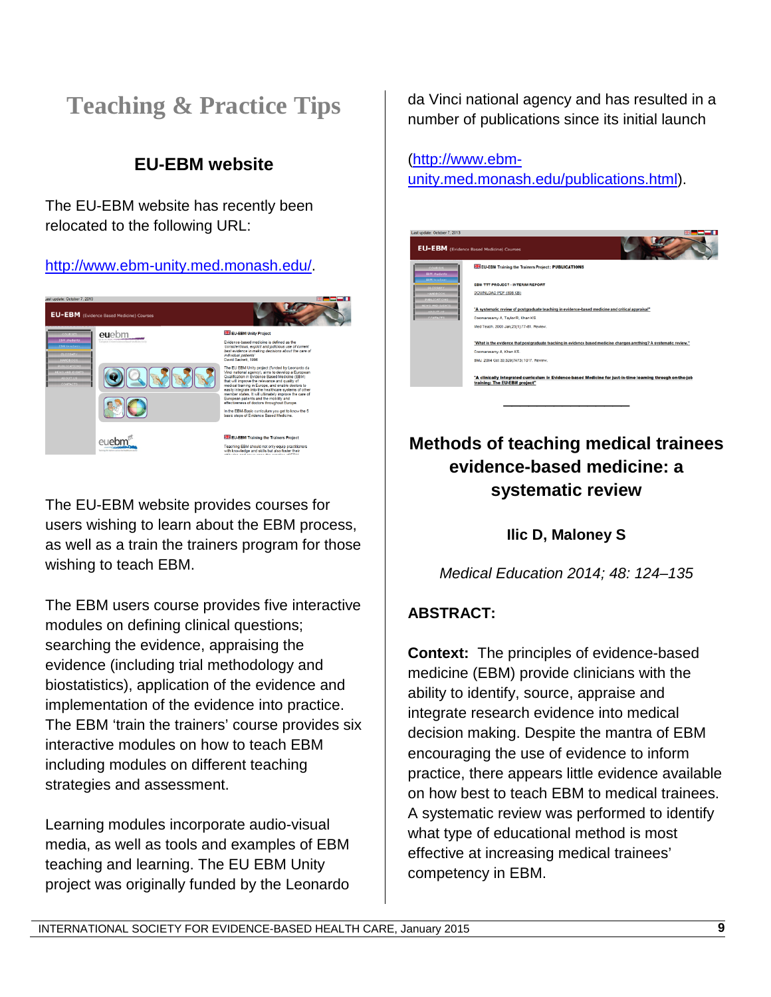# **Teaching & Practice Tips**

## **EU-EBM website**

The EU-EBM website has recently been relocated to the following URL:

#### [http://www.ebm-unity.med.monash.edu/.](http://www.ebm-unity.med.monash.edu/)



The EU-EBM website provides courses for users wishing to learn about the EBM process, as well as a train the trainers program for those wishing to teach EBM.

The EBM users course provides five interactive modules on defining clinical questions; searching the evidence, appraising the evidence (including trial methodology and biostatistics), application of the evidence and implementation of the evidence into practice. The EBM 'train the trainers' course provides six interactive modules on how to teach EBM including modules on different teaching strategies and assessment.

Learning modules incorporate audio-visual media, as well as tools and examples of EBM teaching and learning. The EU EBM Unity project was originally funded by the Leonardo da Vinci national agency and has resulted in a number of publications since its initial launch

### [\(http://www.ebm-](http://www.ebm-unity.med.monash.edu/publications.html)

[unity.med.monash.edu/publications.html\)](http://www.ebm-unity.med.monash.edu/publications.html).

| Last update: October 7, 2013                            |                                                                                                                                              |
|---------------------------------------------------------|----------------------------------------------------------------------------------------------------------------------------------------------|
| <b>EU-EBM</b> (Evidence Based Medicine) Courses         |                                                                                                                                              |
| 777777444<br><b>ABM_chadents</b><br><b>SRM</b> building | <b>ELI EU-EBM Training the Trainers Project : PUBLICATIONS</b>                                                                               |
| <b>GLOSSARY</b>                                         | <b>EBM TTT PROJECT - INTERIM REPORT</b>                                                                                                      |
| <b>JUNOBOOK</b><br><b><i>RUBLICATIONS</i></b>           | DOWNLOAD PDF (808 KB)                                                                                                                        |
| <b>NEWS AND EVENTS</b><br><b>ANOUTLUE</b>               | "A systematic review of postgraduate teaching in evidence-based medicine and critical appraisal"                                             |
| CONTACTS                                                | Coomarasamy A. Taylor R. Khan KS.                                                                                                            |
|                                                         | Med Teach. 2003 Jan:25(1):77-81. Review.                                                                                                     |
|                                                         | "What is the evidence that postgraduate teaching in evidence based medicine changes anything? A systematic review."                          |
|                                                         | Coomarasamy A. Khan KS.                                                                                                                      |
|                                                         | BMJ, 2004 Oct 30:329(7473):1017. Review.                                                                                                     |
|                                                         | "A clinically integrated curriculum in Evidence-based Medicine for just-in-time learning through on-the-job<br>training: The EU-EBM project" |
|                                                         |                                                                                                                                              |

### **Methods of teaching medical trainees evidence-based medicine: a systematic review**

**Ilic D, Maloney S**

*Medical Education 2014; 48: 124–135*

#### **ABSTRACT:**

**Context:** The principles of evidence-based medicine (EBM) provide clinicians with the ability to identify, source, appraise and integrate research evidence into medical decision making. Despite the mantra of EBM encouraging the use of evidence to inform practice, there appears little evidence available on how best to teach EBM to medical trainees. A systematic review was performed to identify what type of educational method is most effective at increasing medical trainees' competency in EBM.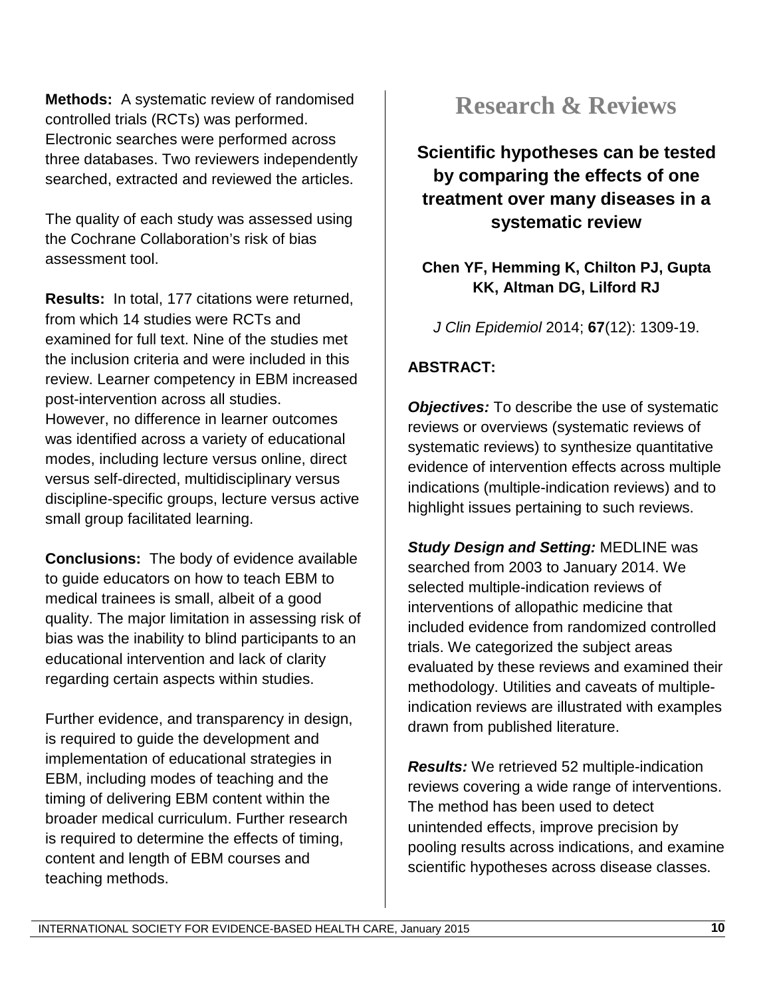**Methods:** A systematic review of randomised controlled trials (RCTs) was performed. Electronic searches were performed across three databases. Two reviewers independently searched, extracted and reviewed the articles.

The quality of each study was assessed using the Cochrane Collaboration's risk of bias assessment tool.

**Results:** In total, 177 citations were returned, from which 14 studies were RCTs and examined for full text. Nine of the studies met the inclusion criteria and were included in this review. Learner competency in EBM increased post-intervention across all studies. However, no difference in learner outcomes was identified across a variety of educational modes, including lecture versus online, direct versus self-directed, multidisciplinary versus discipline-specific groups, lecture versus active small group facilitated learning.

**Conclusions:** The body of evidence available to guide educators on how to teach EBM to medical trainees is small, albeit of a good quality. The major limitation in assessing risk of bias was the inability to blind participants to an educational intervention and lack of clarity regarding certain aspects within studies.

Further evidence, and transparency in design, is required to guide the development and implementation of educational strategies in EBM, including modes of teaching and the timing of delivering EBM content within the broader medical curriculum. Further research is required to determine the effects of timing, content and length of EBM courses and teaching methods.

## **Research & Reviews**

**Scientific hypotheses can be tested by comparing the effects of one treatment over many diseases in a systematic review**

### **Chen YF, Hemming K, Chilton PJ, Gupta KK, Altman DG, Lilford RJ**

*J Clin Epidemiol* 2014; **67**(12): 1309-19.

### **ABSTRACT:**

*Objectives:* To describe the use of systematic reviews or overviews (systematic reviews of systematic reviews) to synthesize quantitative evidence of intervention effects across multiple indications (multiple-indication reviews) and to highlight issues pertaining to such reviews.

*Study Design and Setting:* MEDLINE was searched from 2003 to January 2014. We selected multiple-indication reviews of interventions of allopathic medicine that included evidence from randomized controlled trials. We categorized the subject areas evaluated by these reviews and examined their methodology. Utilities and caveats of multipleindication reviews are illustrated with examples drawn from published literature.

*Results:* We retrieved 52 multiple-indication reviews covering a wide range of interventions. The method has been used to detect unintended effects, improve precision by pooling results across indications, and examine scientific hypotheses across disease classes.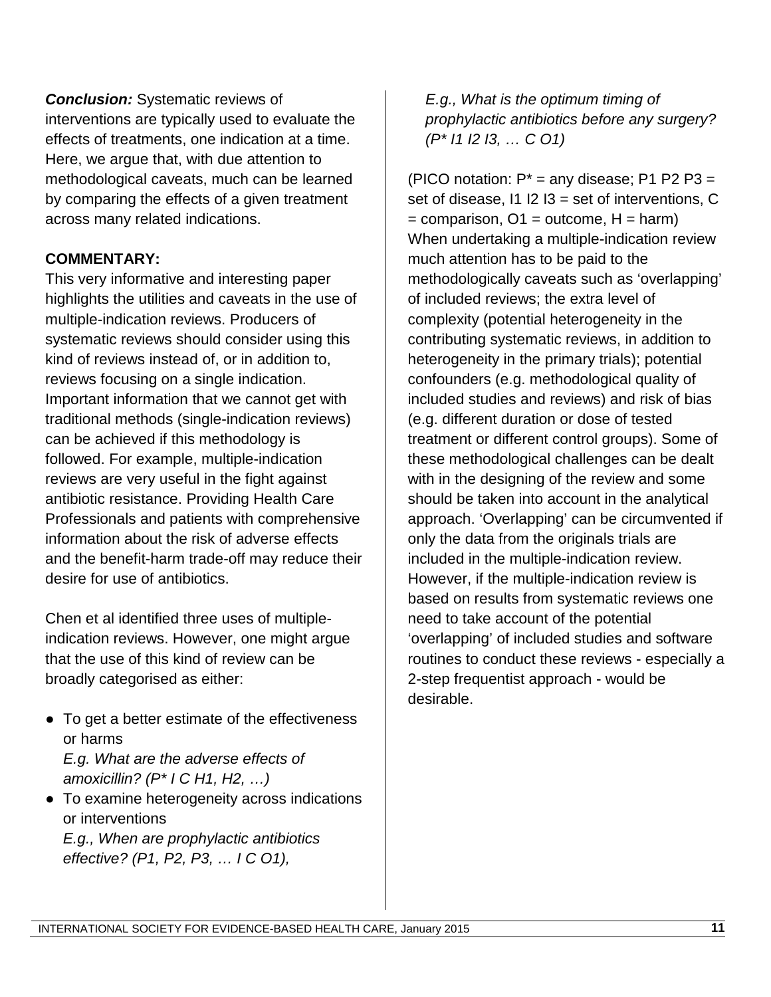*Conclusion:* Systematic reviews of interventions are typically used to evaluate the effects of treatments, one indication at a time. Here, we argue that, with due attention to methodological caveats, much can be learned by comparing the effects of a given treatment across many related indications.

#### **COMMENTARY:**

This very informative and interesting paper highlights the utilities and caveats in the use of multiple-indication reviews. Producers of systematic reviews should consider using this kind of reviews instead of, or in addition to, reviews focusing on a single indication. Important information that we cannot get with traditional methods (single-indication reviews) can be achieved if this methodology is followed. For example, multiple-indication reviews are very useful in the fight against antibiotic resistance. Providing Health Care Professionals and patients with comprehensive information about the risk of adverse effects and the benefit-harm trade-off may reduce their desire for use of antibiotics.

Chen et al identified three uses of multipleindication reviews. However, one might argue that the use of this kind of review can be broadly categorised as either:

- To get a better estimate of the effectiveness or harms *E.g. What are the adverse effects of* 
	- *amoxicillin? (P\* I C H1, H2, …)*
- To examine heterogeneity across indications or interventions *E.g., When are prophylactic antibiotics effective? (P1, P2, P3, … I C O1),*

*E.g., What is the optimum timing of prophylactic antibiotics before any surgery? (P\* I1 I2 I3, … C O1)*

(PICO notation:  $P^*$  = any disease; P1 P2 P3 = set of disease,  $11$  I2 I3 = set of interventions, C  $=$  comparison, O1 = outcome, H = harm) When undertaking a multiple-indication review much attention has to be paid to the methodologically caveats such as 'overlapping' of included reviews; the extra level of complexity (potential heterogeneity in the contributing systematic reviews, in addition to heterogeneity in the primary trials); potential confounders (e.g. methodological quality of included studies and reviews) and risk of bias (e.g. different duration or dose of tested treatment or different control groups). Some of these methodological challenges can be dealt with in the designing of the review and some should be taken into account in the analytical approach. 'Overlapping' can be circumvented if only the data from the originals trials are included in the multiple-indication review. However, if the multiple-indication review is based on results from systematic reviews one need to take account of the potential 'overlapping' of included studies and software routines to conduct these reviews - especially a 2-step frequentist approach - would be desirable.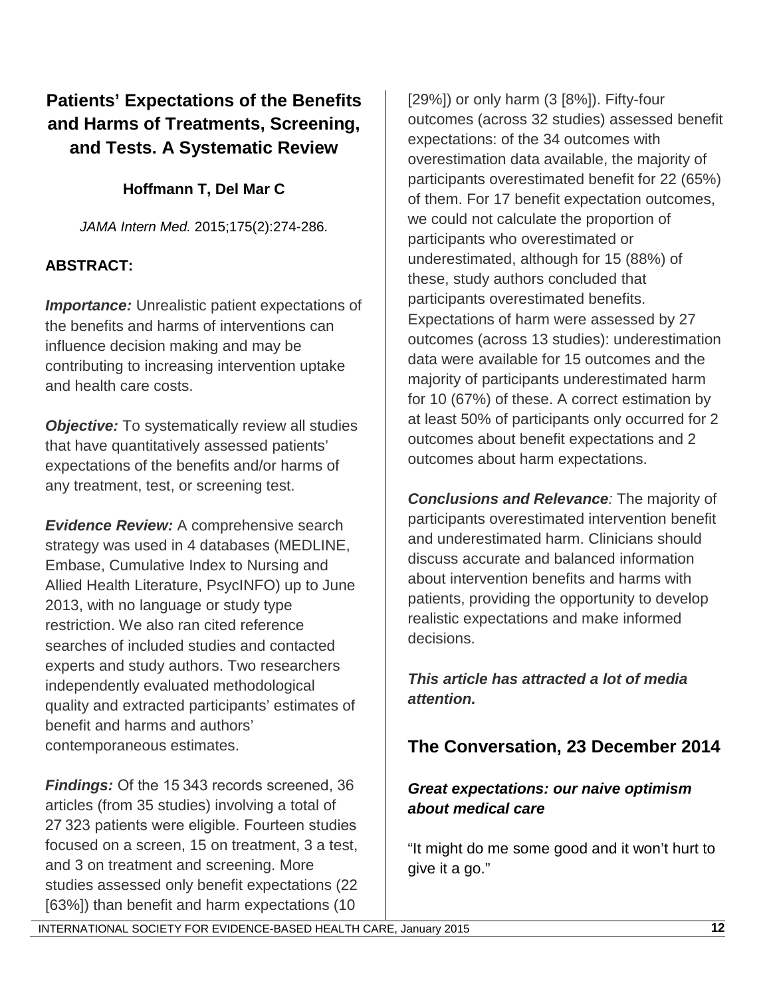### **Patients' Expectations of the Benefits and Harms of Treatments, Screening, and Tests. A Systematic Review**

### **Hoffmann T, Del Mar C**

*JAMA Intern Med.* 2015;175(2):274-286.

### **ABSTRACT:**

**Importance:** Unrealistic patient expectations of the benefits and harms of interventions can influence decision making and may be contributing to increasing intervention uptake and health care costs.

**Objective:** To systematically review all studies that have quantitatively assessed patients' expectations of the benefits and/or harms of any treatment, test, or screening test.

*Evidence Review:* A comprehensive search strategy was used in 4 databases (MEDLINE, Embase, Cumulative Index to Nursing and Allied Health Literature, PsycINFO) up to June 2013, with no language or study type restriction. We also ran cited reference searches of included studies and contacted experts and study authors. Two researchers independently evaluated methodological quality and extracted participants' estimates of benefit and harms and authors' contemporaneous estimates.

*Findings:* Of the 15 343 records screened, 36 articles (from 35 studies) involving a total of 27 323 patients were eligible. Fourteen studies focused on a screen, 15 on treatment, 3 a test, and 3 on treatment and screening. More studies assessed only benefit expectations (22 [63%]) than benefit and harm expectations (10  $[29\%]$ ) or only harm  $(3 [8\%])$ . Fifty-four outcomes (across 32 studies) assessed benefit expectations: of the 34 outcomes with overestimation data available, the majority of participants overestimated benefit for 22 (65%) of them. For 17 benefit expectation outcomes, we could not calculate the proportion of participants who overestimated or underestimated, although for 15 (88%) of these, study authors concluded that participants overestimated benefits. Expectations of harm were assessed by 27 outcomes (across 13 studies): underestimation data were available for 15 outcomes and the majority of participants underestimated harm for 10 (67%) of these. A correct estimation by at least 50% of participants only occurred for 2 outcomes about benefit expectations and 2 outcomes about harm expectations.

*Conclusions and Relevance:* The majority of participants overestimated intervention benefit and underestimated harm. Clinicians should discuss accurate and balanced information about intervention benefits and harms with patients, providing the opportunity to develop realistic expectations and make informed decisions.

*This article has attracted a lot of media attention.*

### **The Conversation, 23 December 2014**

#### *Great expectations: our naive optimism about medical care*

"It might do me some good and it won't hurt to give it a go."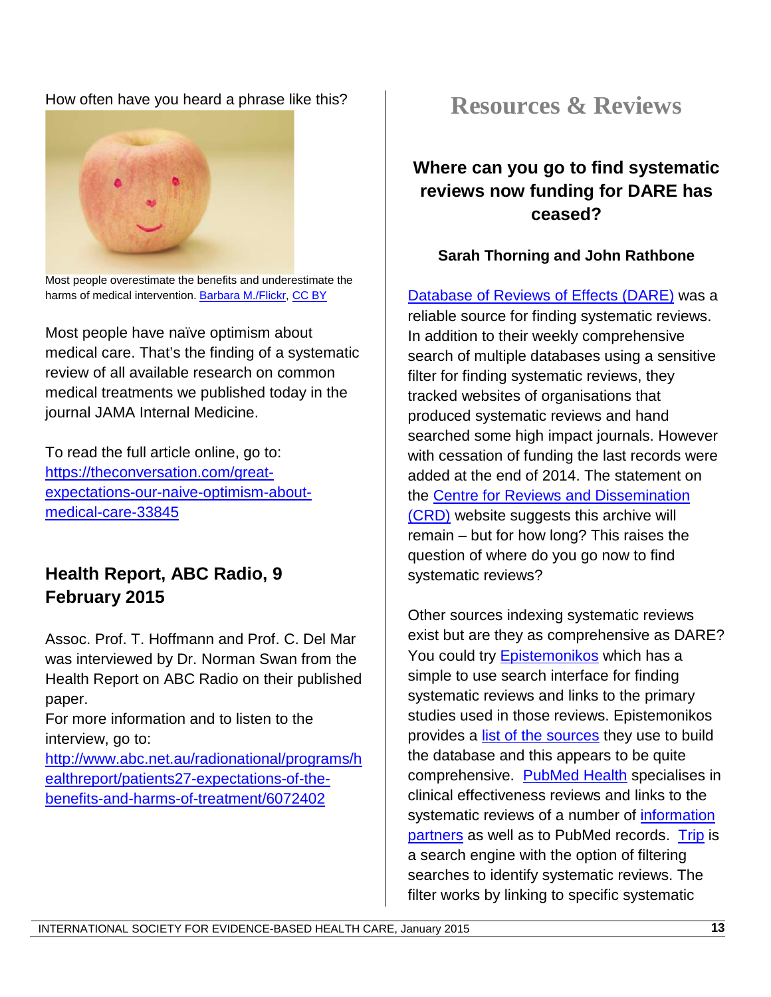#### How often have you heard a phrase like this?



Most people overestimate the benefits and underestimate the harms of medical intervention[. Barbara M./Flickr,](https://www.flickr.com/photos/cannnela/4614340819) [CC BY](http://creativecommons.org/licenses/by/4.0/)

Most people have naïve optimism about medical care. That's the finding of a systematic review of all available research on common medical treatments we published today in the journal JAMA Internal Medicine.

To read the full article online, go to: [https://theconversation.com/great](https://theconversation.com/great-expectations-our-naive-optimism-about-medical-care-33845)[expectations-our-naive-optimism-about](https://theconversation.com/great-expectations-our-naive-optimism-about-medical-care-33845)[medical-care-33845](https://theconversation.com/great-expectations-our-naive-optimism-about-medical-care-33845)

### **Health Report, ABC Radio, 9 February 2015**

Assoc. Prof. T. Hoffmann and Prof. C. Del Mar was interviewed by Dr. Norman Swan from the Health Report on ABC Radio on their published paper.

For more information and to listen to the interview, go to:

[http://www.abc.net.au/radionational/programs/h](http://www.abc.net.au/radionational/programs/healthreport/patients27-expectations-of-the-benefits-and-harms-of-treatment/6072402) [ealthreport/patients27-expectations-of-the](http://www.abc.net.au/radionational/programs/healthreport/patients27-expectations-of-the-benefits-and-harms-of-treatment/6072402)[benefits-and-harms-of-treatment/6072402](http://www.abc.net.au/radionational/programs/healthreport/patients27-expectations-of-the-benefits-and-harms-of-treatment/6072402)

## **Resources & Reviews**

### **Where can you go to find systematic reviews now funding for DARE has ceased?**

#### **Sarah Thorning and John Rathbone**

[Database of Reviews of Effects \(DARE\)](http://www.crd.york.ac.uk/crdweb/) was a reliable source for finding systematic reviews. In addition to their weekly comprehensive search of multiple databases using a sensitive filter for finding systematic reviews, they tracked websites of organisations that produced systematic reviews and hand searched some high impact journals. However with cessation of funding the last records were added at the end of 2014. The statement on the [Centre for Reviews and Dissemination](http://www.crd.york.ac.uk/crdweb/)  [\(CRD\)](http://www.crd.york.ac.uk/crdweb/) website suggests this archive will remain – but for how long? This raises the question of where do you go now to find systematic reviews?

Other sources indexing systematic reviews exist but are they as comprehensive as DARE? You could try [Epistemonikos](http://www.epistemonikos.org/) which has a simple to use search interface for finding systematic reviews and links to the primary studies used in those reviews. Epistemonikos provides a [list of the sources](http://www.epistemonikos.org/en/about_us/#search_strategies) they use to build the database and this appears to be quite comprehensive. [PubMed Health](http://www.ncbi.nlm.nih.gov/pubmedhealth) specialises in clinical effectiveness reviews and links to the systematic reviews of a number of *information* [partners](http://www.ncbi.nlm.nih.gov/pubmedhealth/about/) as well as to PubMed records. [Trip](http://www.tripdatabase.com/) is a search engine with the option of filtering searches to identify systematic reviews. The filter works by linking to specific systematic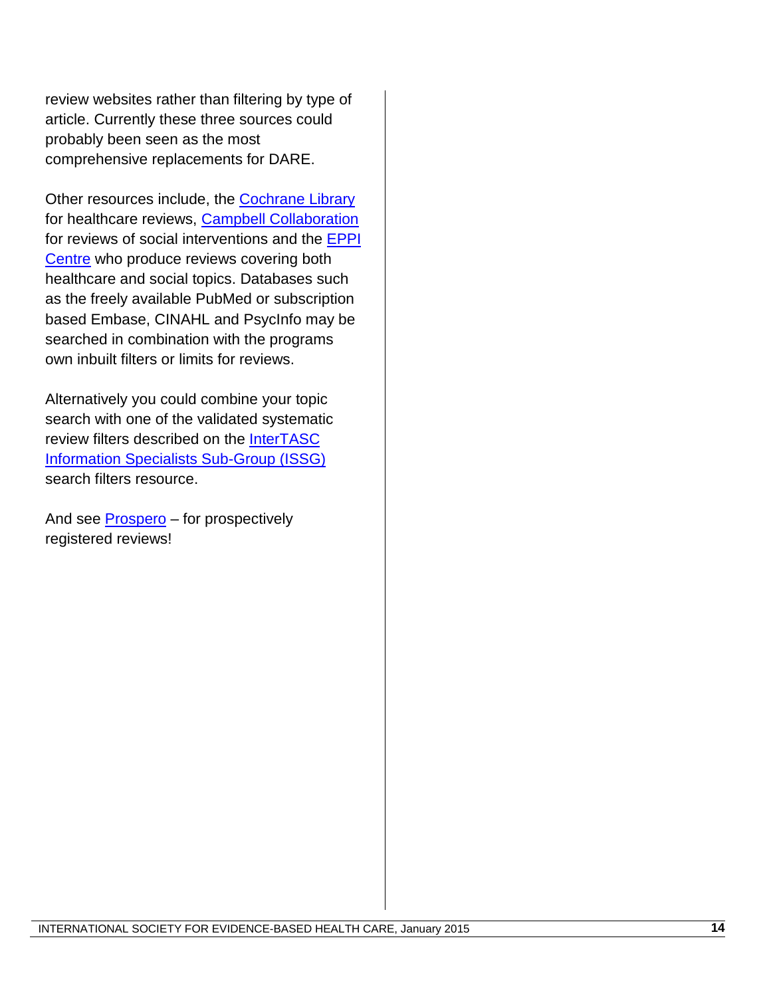review websites rather than filtering by type of article. Currently these three sources could probably been seen as the most comprehensive replacements for DARE.

Other resources include, the **Cochrane Library** for healthcare reviews, [Campbell Collaboration](http://www.campbellcollaboration.org/about_us/index.php) for reviews of social interventions and the **EPPI** [Centre](http://eppi.ioe.ac.uk/cms/Default.aspx?tabid=56) who produce reviews covering both healthcare and social topics. Databases such as the freely available PubMed or subscription based Embase, CINAHL and PsycInfo may be searched in combination with the programs own inbuilt filters or limits for reviews.

Alternatively you could combine your topic search with one of the validated systematic review filters described on the [InterTASC](https://sites.google.com/a/york.ac.uk/issg-search-filters-resource/filters-to-identify-systematic-reviews)  [Information Specialists Sub-Group \(ISSG\)](https://sites.google.com/a/york.ac.uk/issg-search-filters-resource/filters-to-identify-systematic-reviews) search filters resource.

And see [Prospero](http://www.crd.york.ac.uk/prospero/) – for prospectively registered reviews!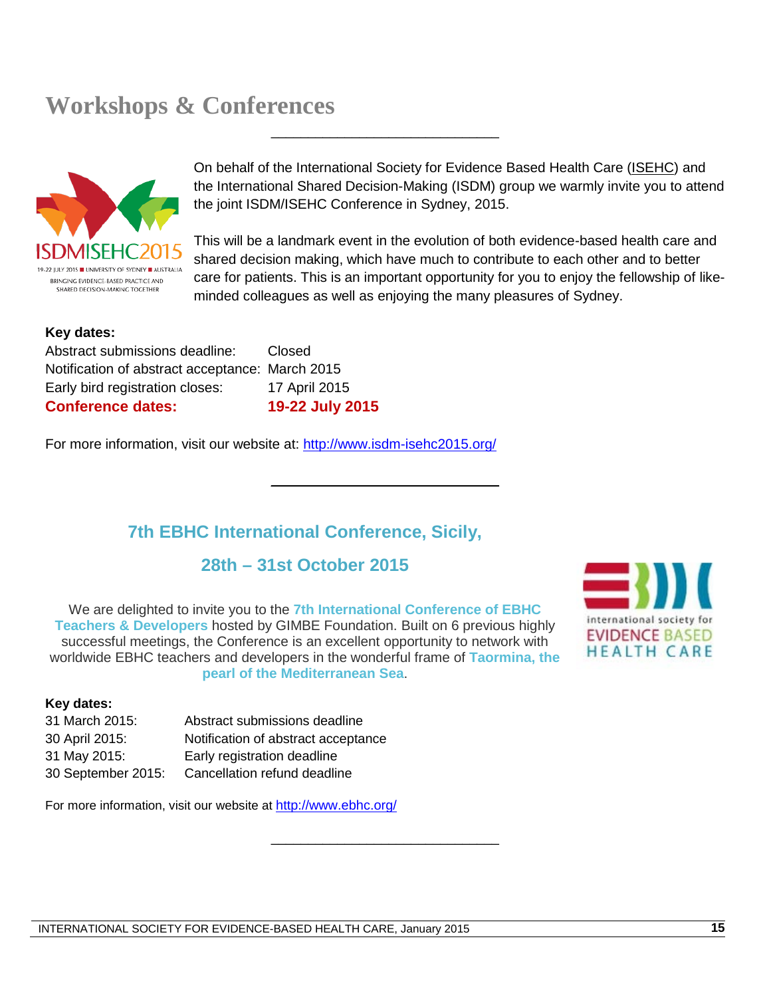## **Workshops & Conferences**



On behalf of the International Society for Evidence Based Health Care [\(ISEHC\)](http://www.isehc.net/) and the International Shared Decision-Making (ISDM) group we warmly invite you to attend the joint ISDM/ISEHC Conference in Sydney, 2015.

\_\_\_\_\_\_\_\_\_\_\_\_\_\_\_\_\_\_\_\_\_\_\_\_\_\_\_\_\_\_\_

\_\_\_\_\_\_\_\_\_\_\_\_\_\_\_\_\_\_\_\_\_\_\_\_\_\_\_\_\_\_\_

\_\_\_\_\_\_\_\_\_\_\_\_\_\_\_\_\_\_\_\_\_\_\_\_\_\_\_\_\_\_\_

This will be a landmark event in the evolution of both evidence-based health care and shared decision making, which have much to contribute to each other and to better care for patients. This is an important opportunity for you to enjoy the fellowship of likeminded colleagues as well as enjoying the many pleasures of Sydney.

#### **Key dates:**

Abstract submissions deadline: Closed Notification of abstract acceptance: March 2015 Early bird registration closes: 17 April 2015 **Conference dates: 19-22 July 2015**

For more information, visit our website at:<http://www.isdm-isehc2015.org/>

### **7th EBHC International Conference, Sicily,**

### **28th – 31st October 2015**

We are delighted to invite you to the **7th International Conference of EBHC Teachers & Developers** hosted by GIMBE Foundation. Built on 6 previous highly successful meetings, the Conference is an excellent opportunity to network with worldwide EBHC teachers and developers in the wonderful frame of **Taormina, the pearl of the Mediterranean Sea**.



#### **Key dates:**

| 31 March 2015:     | Abstract submissions deadline       |
|--------------------|-------------------------------------|
| 30 April 2015:     | Notification of abstract acceptance |
| 31 May 2015:       | Early registration deadline         |
| 30 September 2015: | Cancellation refund deadline        |

For more information, visit our website at<http://www.ebhc.org/>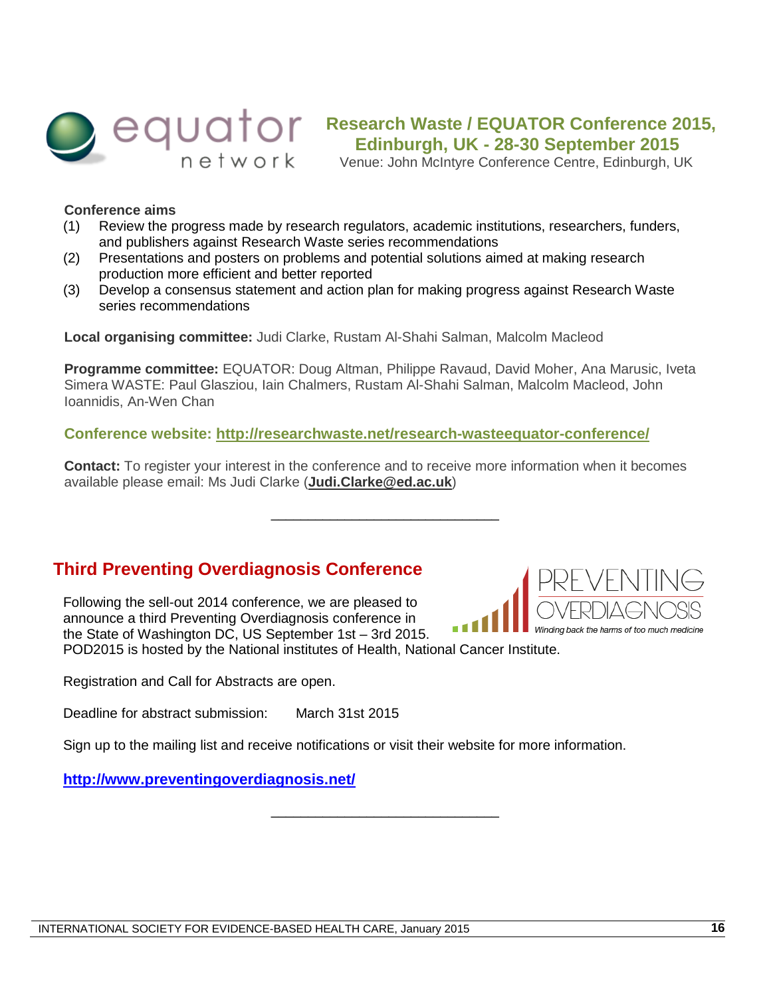

## **Research Waste / EQUATOR Conference 2015, Edinburgh, UK - 28-30 September 2015**

Venue: John McIntyre Conference Centre, Edinburgh, UK

#### **Conference aims**

- (1) Review the progress made by research regulators, academic institutions, researchers, funders, and publishers against Research Waste series recommendations
- (2) Presentations and posters on problems and potential solutions aimed at making research production more efficient and better reported
- (3) Develop a consensus statement and action plan for making progress against Research Waste series recommendations

**Local organising committee:** Judi Clarke, Rustam Al-Shahi Salman, Malcolm Macleod

**Programme committee:** EQUATOR: Doug Altman, Philippe Ravaud, David Moher, Ana Marusic, Iveta Simera WASTE: Paul Glasziou, Iain Chalmers, Rustam Al-Shahi Salman, Malcolm Macleod, John Ioannidis, An-Wen Chan

**Conference website: <http://researchwaste.net/research-wasteequator-conference/>**

**Contact:** To register your interest in the conference and to receive more information when it becomes available please email: Ms Judi Clarke (**[Judi.Clarke@ed.ac.uk](mailto:Judi.Clarke@ed.ac.uk)**)

\_\_\_\_\_\_\_\_\_\_\_\_\_\_\_\_\_\_\_\_\_\_\_\_\_\_\_\_\_\_\_

#### **Third Preventing Overdiagnosis Conference**

Following the sell-out 2014 conference, we are pleased to announce a third Preventing Overdiagnosis conference in the State of Washington DC, US September 1st – 3rd 2015. POD2015 is hosted by the National institutes of Health, National Cancer Institute.

Registration and Call for Abstracts are open.

Deadline for abstract submission: March 31st 2015

Sign up to the mailing list and receive notifications or visit their website for more information.

\_\_\_\_\_\_\_\_\_\_\_\_\_\_\_\_\_\_\_\_\_\_\_\_\_\_\_\_\_\_\_

#### **<http://www.preventingoverdiagnosis.net/>**

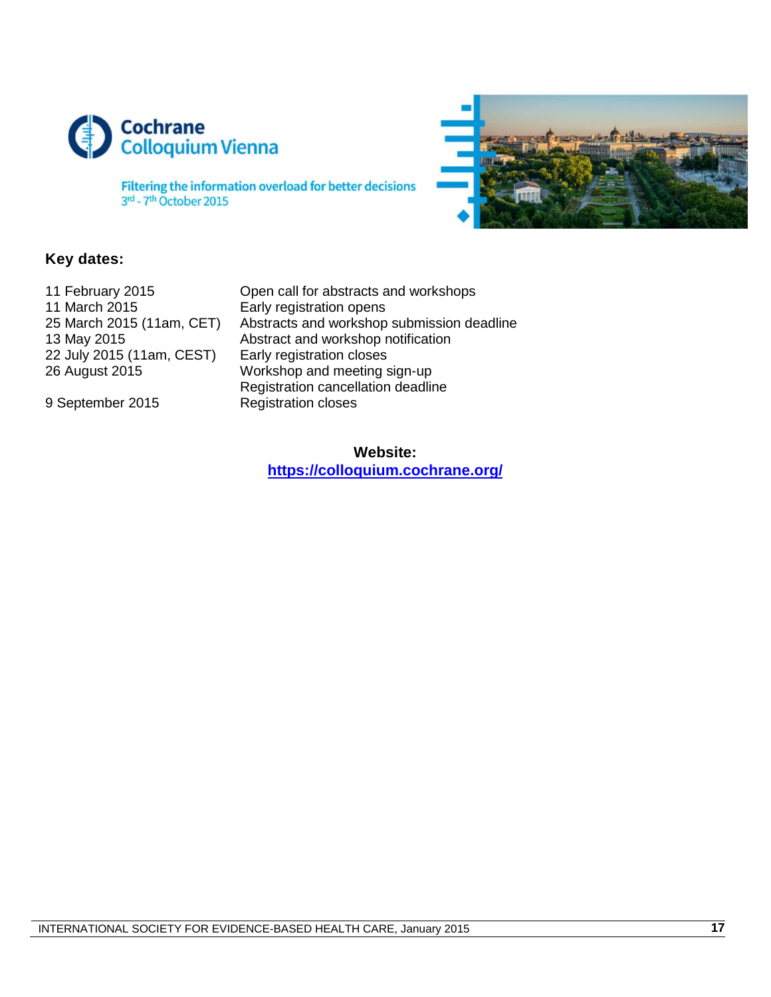



Filtering the information overload for better decisions 3rd - 7th October 2015

#### **Key dates:**

| 11 February 2015          |
|---------------------------|
| 11 March 2015             |
| 25 March 2015 (11am, CET) |
| 13 May 2015               |
| 22 July 2015 (11am, CEST) |
| 26 August 2015            |

Open call for abstracts and workshops Early registration opens Abstracts and workshop submission deadline Abstract and workshop notification Early registration closes Workshop and meeting sign-up Registration cancellation deadline 9 September 2015 Registration closes

> **Website: <https://colloquium.cochrane.org/>**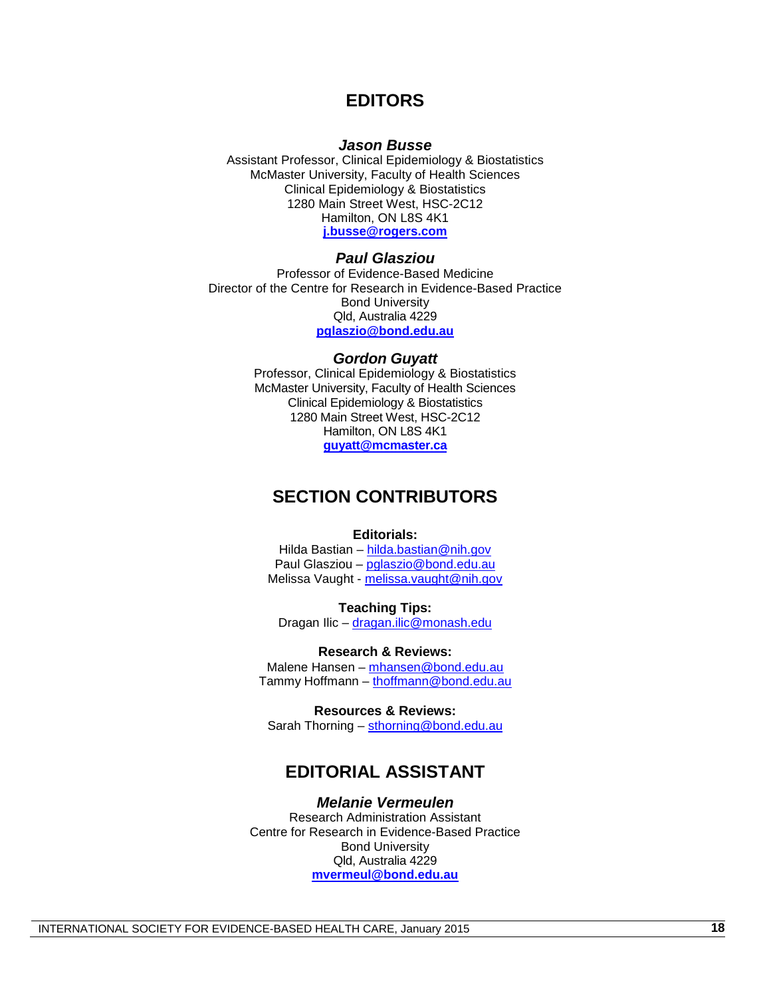#### **EDITORS**

#### *Jason Busse*

Assistant Professor, Clinical Epidemiology & Biostatistics McMaster University, Faculty of Health Sciences Clinical Epidemiology & Biostatistics 1280 Main Street West, HSC-2C12 Hamilton, ON L8S 4K1 **[j.busse@rogers.com](mailto:j.busse@rogers.com)**

#### *Paul Glasziou*

Professor of Evidence-Based Medicine Director of the Centre for Research in Evidence-Based Practice Bond University Qld, Australia 4229 **[pglaszio@bond.edu.au](mailto:pglaszio@bond.edu.au)**

#### *Gordon Guyatt*

Professor, Clinical Epidemiology & Biostatistics McMaster University, Faculty of Health Sciences Clinical Epidemiology & Biostatistics 1280 Main Street West, HSC-2C12 Hamilton, ON L8S 4K1 **[guyatt@mcmaster.ca](mailto:guyatt@mcmaster.ca)**

#### **SECTION CONTRIBUTORS**

#### **Editorials:**

Hilda Bastian – [hilda.bastian@nih.gov](mailto:hilda.bastian@nih.gov) Paul Glasziou – [pglaszio@bond.edu.au](mailto:pglaszio@bond.edu.au) Melissa Vaught - [melissa.vaught@nih.gov](mailto:melissa.vaught@nih.gov)

**Teaching Tips:** Dragan Ilic – [dragan.ilic@monash.edu](mailto:dragan.ilic@monash.edu)

**Research & Reviews:** Malene Hansen – [mhansen@bond.edu.au](mailto:mhansen@bond.edu.au) Tammy Hoffmann – [thoffmann@bond.edu.au](mailto:thoffmann@bond.edu.au)

**Resources & Reviews:** Sarah Thorning - [sthorning@bond.edu.au](mailto:sthorning@bond.edu.au)

#### **EDITORIAL ASSISTANT**

*Melanie Vermeulen* Research Administration Assistant Centre for Research in Evidence-Based Practice Bond University Qld, Australia 4229 **[mvermeul@bond.edu.au](mailto:mvermeul@bond.edu.au)**